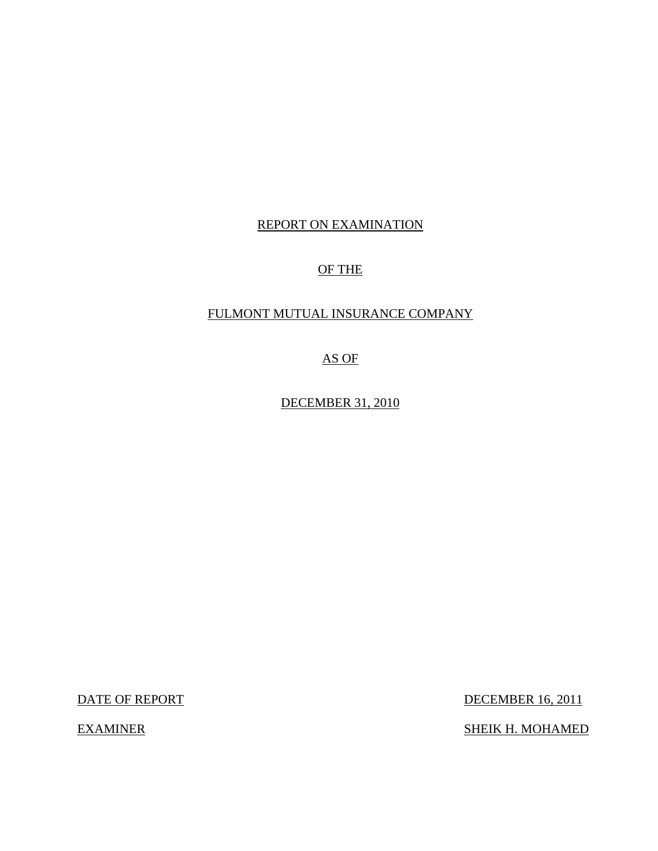### REPORT ON EXAMINATION

### OF THE

### FULMONT MUTUAL INSURANCE COMPANY

AS OF

DECEMBER 31, 2010

DATE OF REPORT DECEMBER 16, 2011

EXAMINER SHEIK H. MOHAMED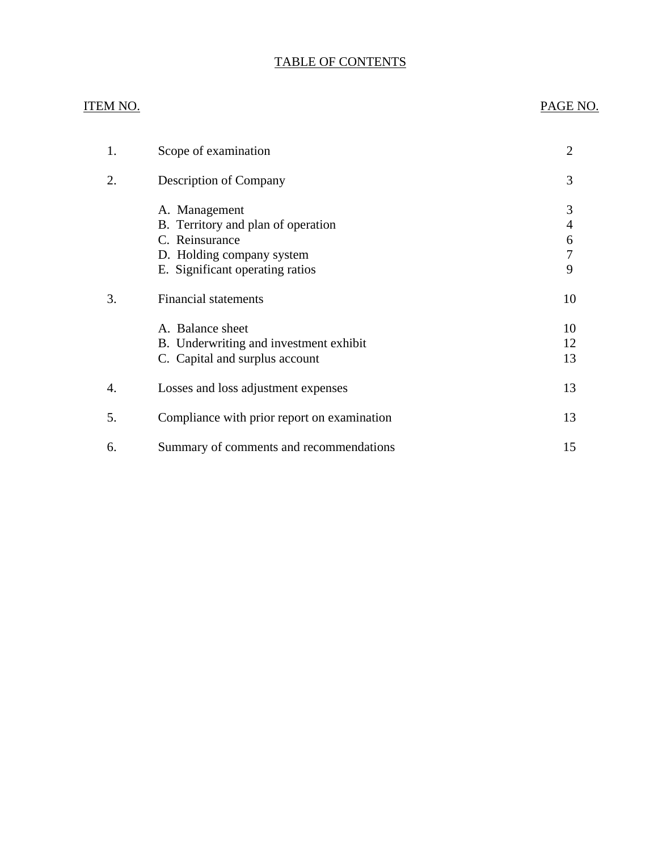# TABLE OF CONTENTS

#### ITEM NO. PAGE NO.

| 1. | Scope of examination                                                                                                                  | 2                     |
|----|---------------------------------------------------------------------------------------------------------------------------------------|-----------------------|
| 2. | <b>Description of Company</b>                                                                                                         | 3                     |
|    | A. Management<br>B. Territory and plan of operation<br>C. Reinsurance<br>D. Holding company system<br>E. Significant operating ratios | 3<br>4<br>6<br>7<br>9 |
| 3. | <b>Financial statements</b>                                                                                                           | 10                    |
|    | A. Balance sheet<br>B. Underwriting and investment exhibit<br>C. Capital and surplus account                                          | 10<br>12<br>13        |
| 4. | Losses and loss adjustment expenses                                                                                                   | 13                    |
| 5. | Compliance with prior report on examination                                                                                           | 13                    |
| 6. | Summary of comments and recommendations                                                                                               | 15                    |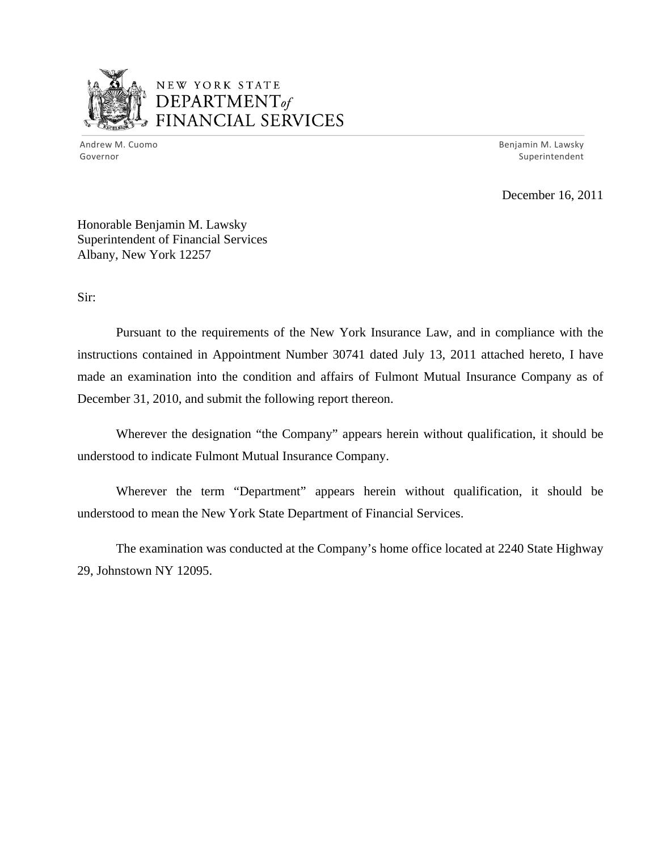

# NEW YORK STATE DEPARTMENTof *~--"1,...,\_...,.,.,.......,,,* FINANCIAL SERVICES

Andrew M. Cuomo **Benjamin M. Lawsky** Governor Superintendent

December 16, 2011

Honorable Benjamin M. Lawsky Superintendent of Financial Services Albany, New York 12257

Sir:

Pursuant to the requirements of the New York Insurance Law, and in compliance with the instructions contained in Appointment Number 30741 dated July 13, 2011 attached hereto, I have made an examination into the condition and affairs of Fulmont Mutual Insurance Company as of December 31, 2010, and submit the following report thereon.

Wherever the designation "the Company" appears herein without qualification, it should be understood to indicate Fulmont Mutual Insurance Company.

Wherever the term "Department" appears herein without qualification, it should be understood to mean the New York State Department of Financial Services.

The examination was conducted at the Company's home office located at 2240 State Highway 29, Johnstown NY 12095.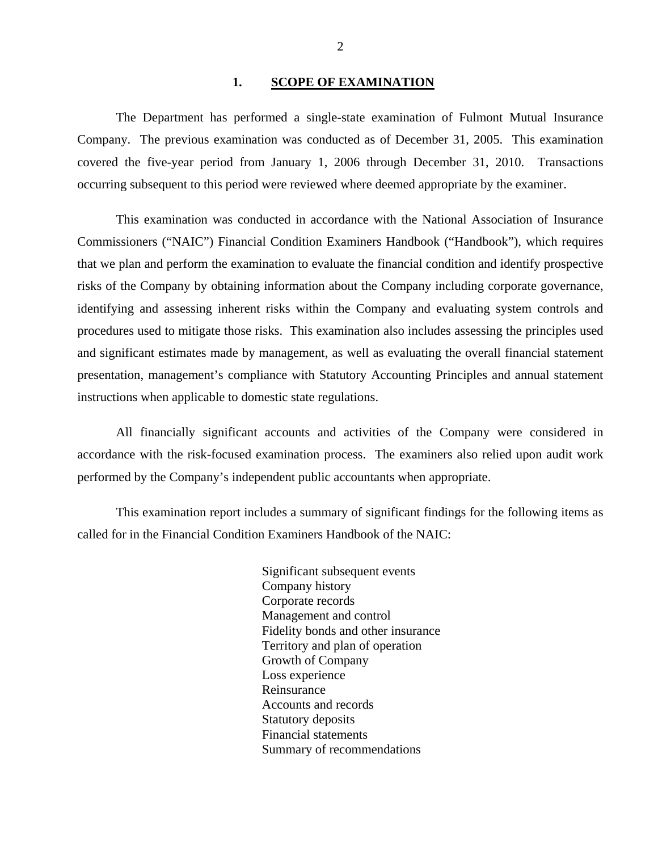#### 1. SCOPE OF EXAMINATION

<span id="page-3-0"></span>The Department has performed a single-state examination of Fulmont Mutual Insurance Company. The previous examination was conducted as of December 31, 2005. This examination covered the five-year period from January 1, 2006 through December 31, 2010. Transactions occurring subsequent to this period were reviewed where deemed appropriate by the examiner.

This examination was conducted in accordance with the National Association of Insurance Commissioners ("NAIC") Financial Condition Examiners Handbook ("Handbook"), which requires that we plan and perform the examination to evaluate the financial condition and identify prospective risks of the Company by obtaining information about the Company including corporate governance, identifying and assessing inherent risks within the Company and evaluating system controls and procedures used to mitigate those risks. This examination also includes assessing the principles used and significant estimates made by management, as well as evaluating the overall financial statement presentation, management's compliance with Statutory Accounting Principles and annual statement instructions when applicable to domestic state regulations.

All financially significant accounts and activities of the Company were considered in accordance with the risk-focused examination process. The examiners also relied upon audit work performed by the Company's independent public accountants when appropriate.

This examination report includes a summary of significant findings for the following items as called for in the Financial Condition Examiners Handbook of the NAIC:

> Significant subsequent events Company history Corporate records Management and control Fidelity bonds and other insurance Territory and plan of operation Growth of Company Loss experience Reinsurance Accounts and records Statutory deposits Financial statements Summary of recommendations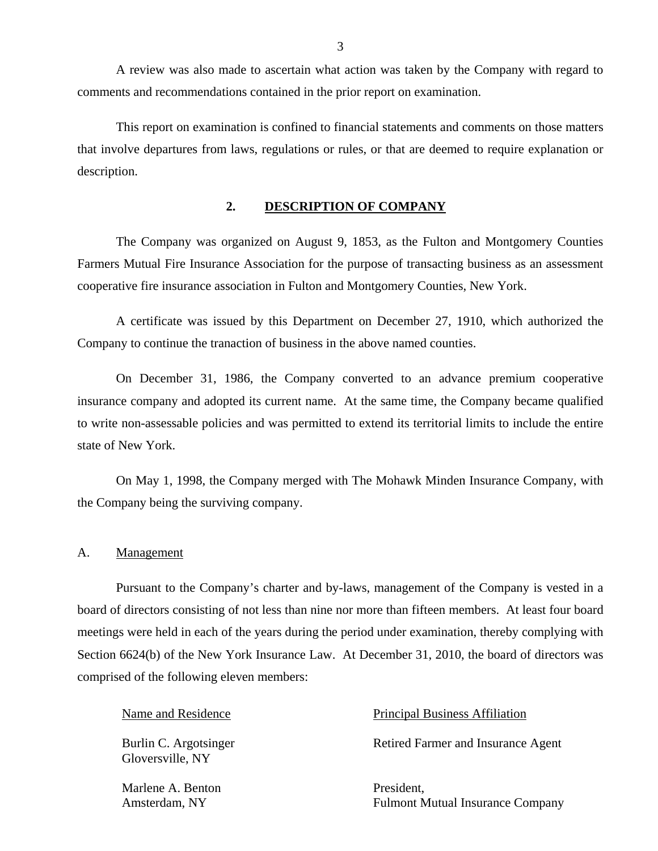<span id="page-4-0"></span>A review was also made to ascertain what action was taken by the Company with regard to comments and recommendations contained in the prior report on examination.

This report on examination is confined to financial statements and comments on those matters that involve departures from laws, regulations or rules, or that are deemed to require explanation or description.

#### **2. DESCRIPTION OF COMPANY**

The Company was organized on August 9, 1853, as the Fulton and Montgomery Counties Farmers Mutual Fire Insurance Association for the purpose of transacting business as an assessment cooperative fire insurance association in Fulton and Montgomery Counties, New York.

A certificate was issued by this Department on December 27, 1910, which authorized the Company to continue the tranaction of business in the above named counties.

On December 31, 1986, the Company converted to an advance premium cooperative insurance company and adopted its current name. At the same time, the Company became qualified to write non-assessable policies and was permitted to extend its territorial limits to include the entire state of New York.

On May 1, 1998, the Company merged with The Mohawk Minden Insurance Company, with the Company being the surviving company.

#### A. Management

Pursuant to the Company's charter and by-laws, management of the Company is vested in a board of directors consisting of not less than nine nor more than fifteen members. At least four board meetings were held in each of the years during the period under examination, thereby complying with Section 6624(b) of the New York Insurance Law. At December 31, 2010, the board of directors was comprised of the following eleven members:

Gloversville, NY

Marlene A. Benton President.

#### Name and Residence **Principal Business Affiliation**

Burlin C. Argotsinger Retired Farmer and Insurance Agent

Amsterdam, NY Fulmont Mutual Insurance Company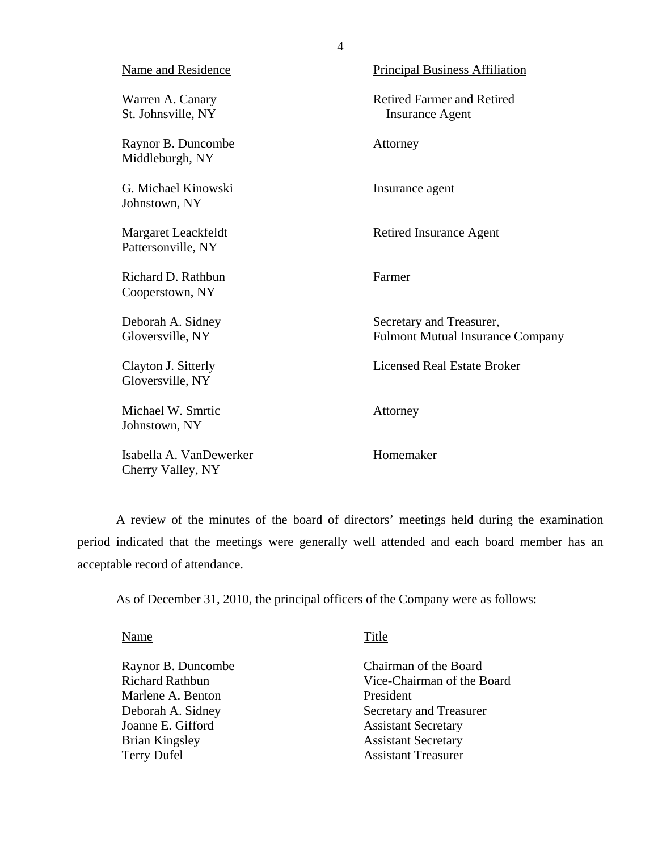<span id="page-5-0"></span>

| <b>Name and Residence</b>                    | <b>Principal Business Affiliation</b>                               |
|----------------------------------------------|---------------------------------------------------------------------|
| Warren A. Canary<br>St. Johnsville, NY       | <b>Retired Farmer and Retired</b><br><b>Insurance Agent</b>         |
| Raynor B. Duncombe<br>Middleburgh, NY        | Attorney                                                            |
| G. Michael Kinowski<br>Johnstown, NY         | Insurance agent                                                     |
| Margaret Leackfeldt<br>Pattersonville, NY    | <b>Retired Insurance Agent</b>                                      |
| Richard D. Rathbun<br>Cooperstown, NY        | Farmer                                                              |
| Deborah A. Sidney<br>Gloversville, NY        | Secretary and Treasurer,<br><b>Fulmont Mutual Insurance Company</b> |
| Clayton J. Sitterly<br>Gloversville, NY      | <b>Licensed Real Estate Broker</b>                                  |
| Michael W. Smrtic<br>Johnstown, NY           | Attorney                                                            |
| Isabella A. VanDewerker<br>Cherry Valley, NY | Homemaker                                                           |

A review of the minutes of the board of directors' meetings held during the examination period indicated that the meetings were generally well attended and each board member has an acceptable record of attendance.

As of December 31, 2010, the principal officers of the Company were as follows:

Name Title

Marlene A. Benton President Joanne E. Gifford Assistant Secretary<br>Brian Kingsley Assistant Secretary Terry Dufel Assistant Treasurer

Raynor B. Duncombe Chairman of the Board Richard Rathbun Vice-Chairman of the Board Deborah A. Sidney Secretary and Treasurer Assistant Secretary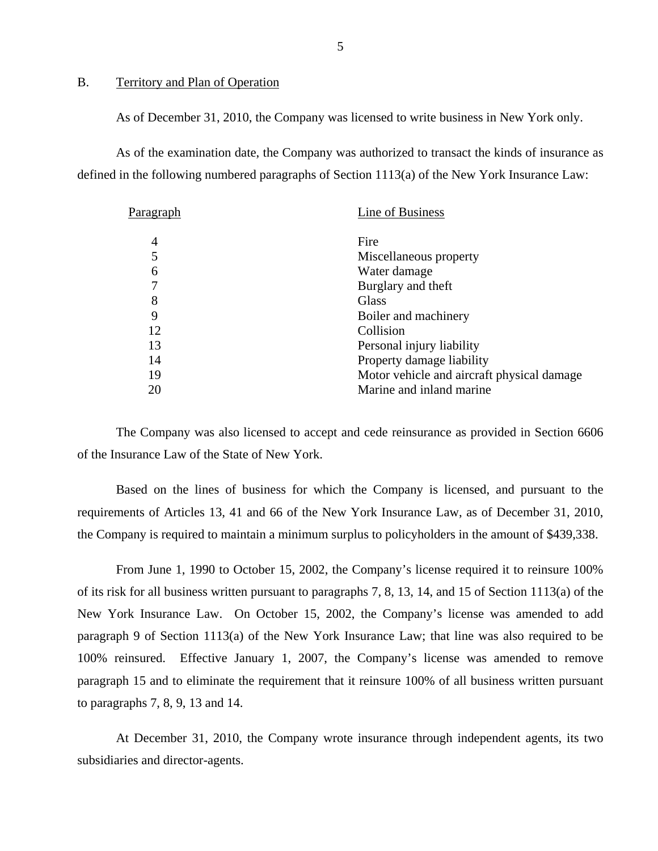#### B. Territory and Plan of Operation

As of December 31, 2010, the Company was licensed to write business in New York only.

As of the examination date, the Company was authorized to transact the kinds of insurance as defined in the following numbered paragraphs of Section 1113(a) of the New York Insurance Law:

| P <u>aragraph</u> | Line of Business                           |
|-------------------|--------------------------------------------|
| 4                 | Fire                                       |
|                   | Miscellaneous property                     |
| 6                 | Water damage                               |
|                   | Burglary and theft                         |
| 8                 | Glass                                      |
| 9                 | Boiler and machinery                       |
| 12                | Collision                                  |
| 13                | Personal injury liability                  |
| 14                | Property damage liability                  |
| 19                | Motor vehicle and aircraft physical damage |
| 20                | Marine and inland marine                   |
|                   |                                            |

The Company was also licensed to accept and cede reinsurance as provided in Section 6606 of the Insurance Law of the State of New York.

Based on the lines of business for which the Company is licensed, and pursuant to the requirements of Articles 13, 41 and 66 of the New York Insurance Law, as of December 31, 2010, the Company is required to maintain a minimum surplus to policyholders in the amount of \$439,338.

From June 1, 1990 to October 15, 2002, the Company's license required it to reinsure 100% of its risk for all business written pursuant to paragraphs 7, 8, 13, 14, and 15 of Section 1113(a) of the New York Insurance Law. On October 15, 2002, the Company's license was amended to add paragraph 9 of Section 1113(a) of the New York Insurance Law; that line was also required to be 100% reinsured. Effective January 1, 2007, the Company's license was amended to remove paragraph 15 and to eliminate the requirement that it reinsure 100% of all business written pursuant to paragraphs 7, 8, 9, 13 and 14.

At December 31, 2010, the Company wrote insurance through independent agents, its two subsidiaries and director-agents.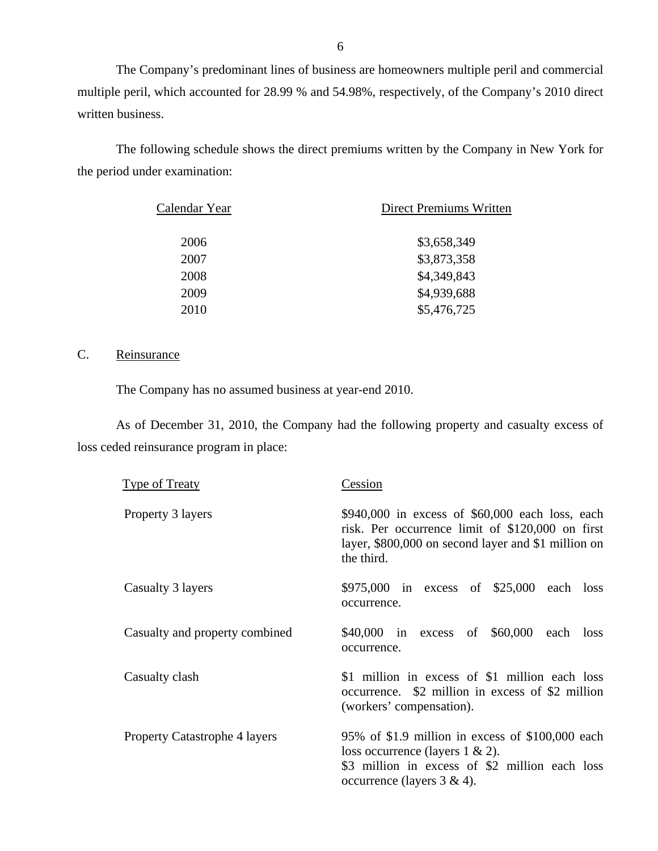The Company's predominant lines of business are homeowners multiple peril and commercial multiple peril, which accounted for 28.99 % and 54.98%, respectively, of the Company's 2010 direct written business.

The following schedule shows the direct premiums written by the Company in New York for the period under examination:

| Calendar Year | Direct Premiums Written |
|---------------|-------------------------|
| 2006          | \$3,658,349             |
| 2007          | \$3,873,358             |
| 2008          | \$4,349,843             |
| 2009          | \$4,939,688             |
| 2010          | \$5,476,725             |

#### C. Reinsurance

The Company has no assumed business at year-end 2010.

As of December 31, 2010, the Company had the following property and casualty excess of loss ceded reinsurance program in place:

| <b>Type of Treaty</b>                | Cession                                                                                                                                                                     |
|--------------------------------------|-----------------------------------------------------------------------------------------------------------------------------------------------------------------------------|
| Property 3 layers                    | $$940,000$ in excess of $$60,000$ each loss, each<br>risk. Per occurrence limit of \$120,000 on first<br>layer, \$800,000 on second layer and \$1 million on<br>the third.  |
| Casualty 3 layers                    | \$975,000 in excess of \$25,000 each loss<br>occurrence.                                                                                                                    |
| Casualty and property combined       | \$40,000 in excess of \$60,000 each loss<br>occurrence.                                                                                                                     |
| Casualty clash                       | \$1 million in excess of \$1 million each loss<br>occurrence. \$2 million in excess of \$2 million<br>(workers' compensation).                                              |
| <b>Property Catastrophe 4 layers</b> | 95% of \$1.9 million in excess of \$100,000 each<br>loss occurrence (layers $1 \& 2$ ).<br>\$3 million in excess of \$2 million each loss<br>occurrence (layers $3 \& 4$ ). |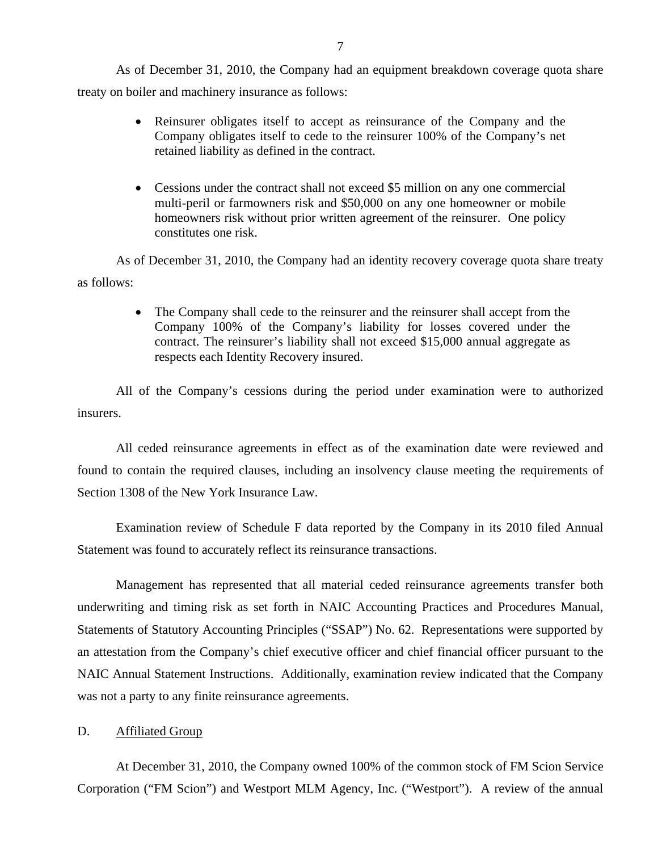<span id="page-8-0"></span>As of December 31, 2010, the Company had an equipment breakdown coverage quota share treaty on boiler and machinery insurance as follows:

- Reinsurer obligates itself to accept as reinsurance of the Company and the Company obligates itself to cede to the reinsurer 100% of the Company's net retained liability as defined in the contract.
- Cessions under the contract shall not exceed \$5 million on any one commercial multi-peril or farmowners risk and \$50,000 on any one homeowner or mobile homeowners risk without prior written agreement of the reinsurer. One policy constitutes one risk.

As of December 31, 2010, the Company had an identity recovery coverage quota share treaty as follows:

> The Company shall cede to the reinsurer and the reinsurer shall accept from the Company 100% of the Company's liability for losses covered under the contract. The reinsurer's liability shall not exceed \$15,000 annual aggregate as respects each Identity Recovery insured.

All of the Company's cessions during the period under examination were to authorized insurers.

All ceded reinsurance agreements in effect as of the examination date were reviewed and found to contain the required clauses, including an insolvency clause meeting the requirements of Section 1308 of the New York Insurance Law.

Examination review of Schedule F data reported by the Company in its 2010 filed Annual Statement was found to accurately reflect its reinsurance transactions.

Management has represented that all material ceded reinsurance agreements transfer both underwriting and timing risk as set forth in NAIC Accounting Practices and Procedures Manual, Statements of Statutory Accounting Principles ("SSAP") No. 62. Representations were supported by an attestation from the Company's chief executive officer and chief financial officer pursuant to the NAIC Annual Statement Instructions. Additionally, examination review indicated that the Company was not a party to any finite reinsurance agreements.

#### D. **Affiliated Group**

At December 31, 2010, the Company owned 100% of the common stock of FM Scion Service Corporation ("FM Scion") and Westport MLM Agency, Inc. ("Westport"). A review of the annual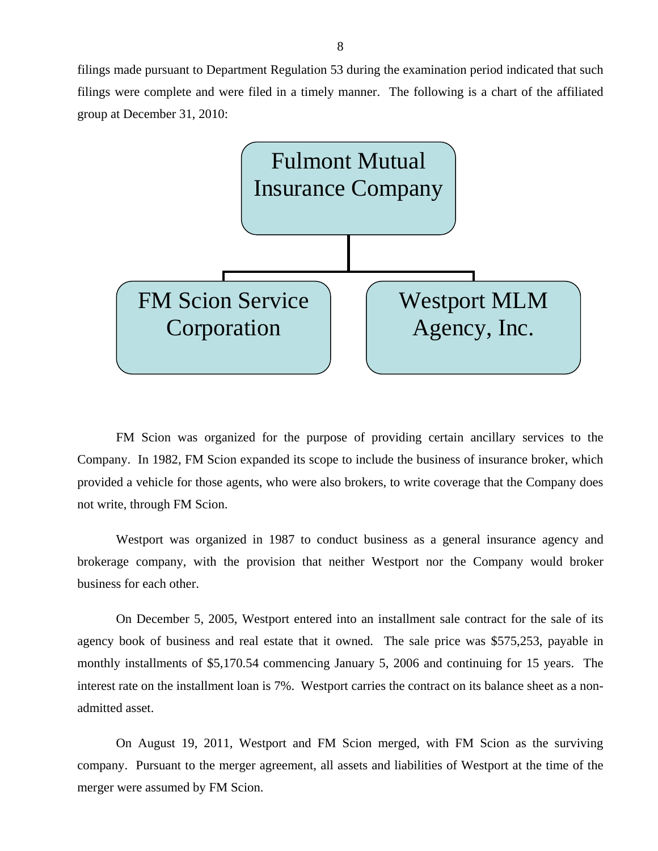filings made pursuant to Department Regulation 53 during the examination period indicated that such filings were complete and were filed in a timely manner. The following is a chart of the affiliated group at December 31, 2010:



FM Scion was organized for the purpose of providing certain ancillary services to the Company. In 1982, FM Scion expanded its scope to include the business of insurance broker, which provided a vehicle for those agents, who were also brokers, to write coverage that the Company does not write, through FM Scion.

Westport was organized in 1987 to conduct business as a general insurance agency and brokerage company, with the provision that neither Westport nor the Company would broker business for each other.

On December 5, 2005, Westport entered into an installment sale contract for the sale of its agency book of business and real estate that it owned. The sale price was \$575,253, payable in monthly installments of \$[5,170.54](https://5,170.54) commencing January 5, 2006 and continuing for 15 years. The interest rate on the installment loan is 7%. Westport carries the contract on its balance sheet as a nonadmitted asset.

On August 19, 2011, Westport and FM Scion merged, with FM Scion as the surviving company. Pursuant to the merger agreement, all assets and liabilities of Westport at the time of the merger were assumed by FM Scion.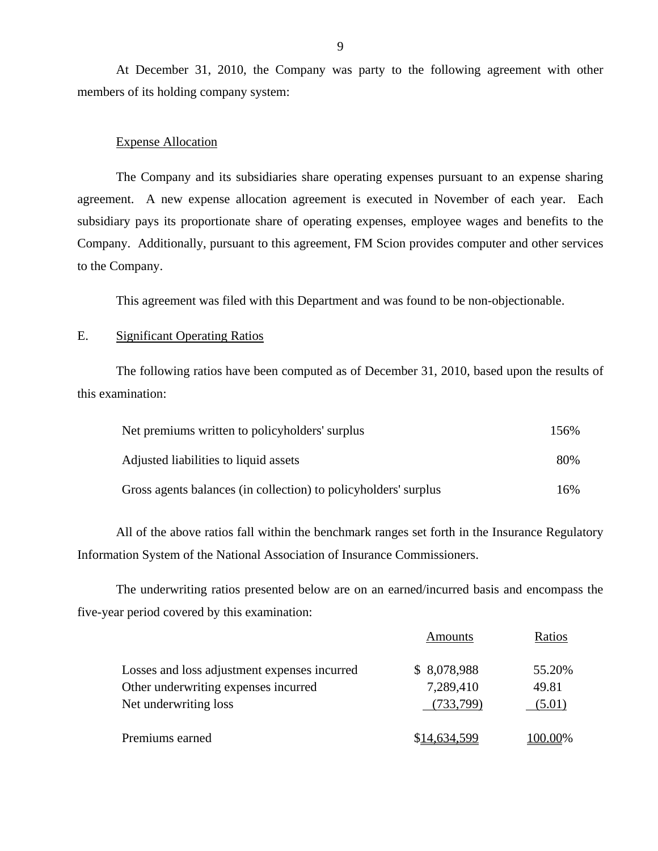At December 31, 2010, the Company was party to the following agreement with other members of its holding company system:

#### Expense Allocation

The Company and its subsidiaries share operating expenses pursuant to an expense sharing agreement. A new expense allocation agreement is executed in November of each year. Each subsidiary pays its proportionate share of operating expenses, employee wages and benefits to the Company. Additionally, pursuant to this agreement, FM Scion provides computer and other services to the Company.

This agreement was filed with this Department and was found to be non-objectionable.

#### E. Significant Operating Ratios

The following ratios have been computed as of December 31, 2010, based upon the results of this examination:

| Net premiums written to policyholders' surplus                  | 156% |
|-----------------------------------------------------------------|------|
| Adjusted liabilities to liquid assets                           | 80%  |
| Gross agents balances (in collection) to policyholders' surplus | 16%  |

All of the above ratios fall within the benchmark ranges set forth in the Insurance Regulatory Information System of the National Association of Insurance Commissioners.

The underwriting ratios presented below are on an earned/incurred basis and encompass the five-year period covered by this examination:

|                                              | Amounts      | Ratios        |
|----------------------------------------------|--------------|---------------|
| Losses and loss adjustment expenses incurred | \$ 8,078,988 | 55.20%        |
| Other underwriting expenses incurred         | 7,289,410    | 49.81         |
| Net underwriting loss                        | (733,799)    | (5.01)        |
| Premiums earned                              | 14,634.599   | <u>00.00%</u> |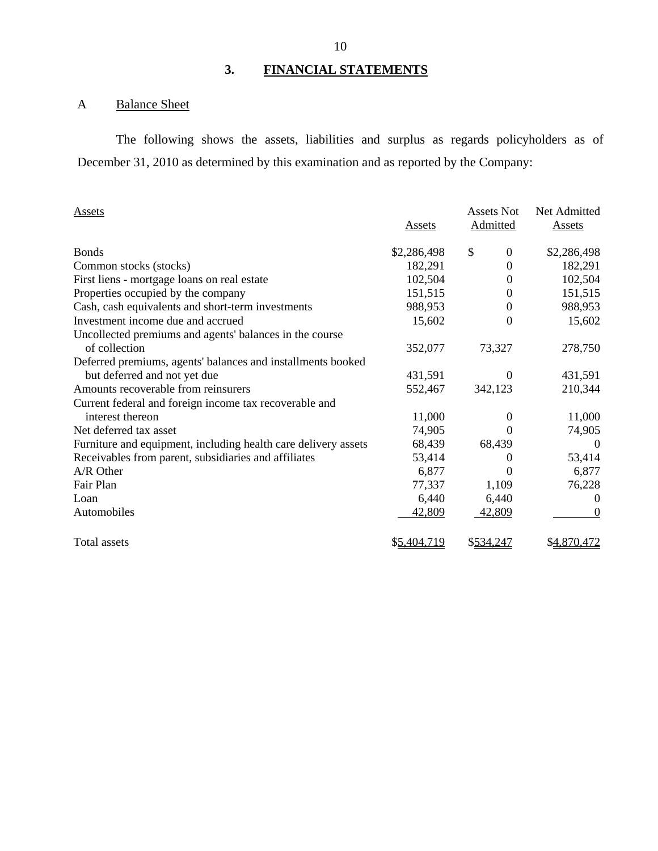# **3. FINANCIAL STATEMENTS**

# A Balance Sheet

The following shows the assets, liabilities and surplus as regards policyholders as of December 31, 2010 as determined by this examination and as reported by the Company:

| <b>Assets</b>                                                  |               | <b>Assets Not</b> | Net Admitted   |
|----------------------------------------------------------------|---------------|-------------------|----------------|
|                                                                | <b>Assets</b> | <b>Admitted</b>   | <b>Assets</b>  |
| <b>Bonds</b>                                                   | \$2,286,498   | \$<br>$\theta$    | \$2,286,498    |
| Common stocks (stocks)                                         | 182,291       | 0                 | 182,291        |
| First liens - mortgage loans on real estate                    | 102,504       | 0                 | 102,504        |
| Properties occupied by the company                             | 151,515       | 0                 | 151,515        |
| Cash, cash equivalents and short-term investments              | 988,953       | 0                 | 988,953        |
| Investment income due and accrued                              | 15,602        | 0                 | 15,602         |
| Uncollected premiums and agents' balances in the course        |               |                   |                |
| of collection                                                  | 352,077       | 73,327            | 278,750        |
| Deferred premiums, agents' balances and installments booked    |               |                   |                |
| but deferred and not yet due                                   | 431,591       | 0                 | 431,591        |
| Amounts recoverable from reinsurers                            | 552,467       | 342,123           | 210,344        |
| Current federal and foreign income tax recoverable and         |               |                   |                |
| interest thereon                                               | 11,000        | $\Omega$          | 11,000         |
| Net deferred tax asset                                         | 74,905        |                   | 74,905         |
| Furniture and equipment, including health care delivery assets | 68,439        | 68,439            | $\overline{0}$ |
| Receivables from parent, subsidiaries and affiliates           | 53,414        | $\theta$          | 53,414         |
| A/R Other                                                      | 6,877         | $\theta$          | 6,877          |
| Fair Plan                                                      | 77,337        | 1,109             | 76,228         |
| Loan                                                           | 6,440         | 6,440             | $\theta$       |
| Automobiles                                                    | 42,809        | 42,809            | $\theta$       |
| Total assets                                                   | \$5,404,719   | \$534,247         | \$4,870,472    |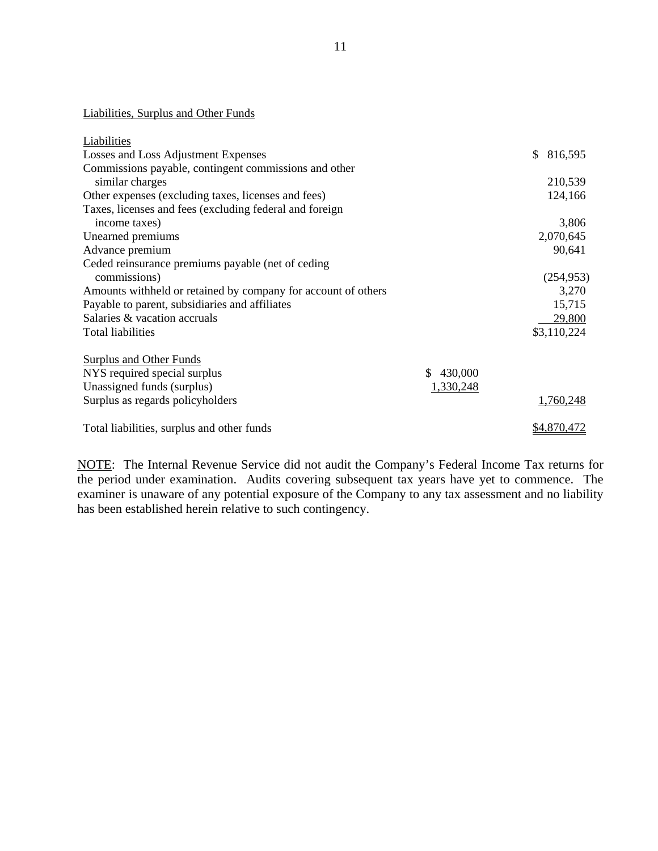Liabilities, Surplus and Other Funds

| Liabilities                                                   |                |               |
|---------------------------------------------------------------|----------------|---------------|
| Losses and Loss Adjustment Expenses                           |                | \$<br>816,595 |
| Commissions payable, contingent commissions and other         |                |               |
| similar charges                                               |                | 210,539       |
| Other expenses (excluding taxes, licenses and fees)           |                | 124,166       |
| Taxes, licenses and fees (excluding federal and foreign       |                |               |
| income taxes)                                                 |                | 3,806         |
| Unearned premiums                                             |                | 2,070,645     |
| Advance premium                                               |                | 90,641        |
| Ceded reinsurance premiums payable (net of ceding             |                |               |
| commissions)                                                  |                | (254, 953)    |
| Amounts withheld or retained by company for account of others |                | 3,270         |
| Payable to parent, subsidiaries and affiliates                |                | 15,715        |
| Salaries & vacation accruals                                  |                | 29,800        |
| Total liabilities                                             |                | \$3,110,224   |
|                                                               |                |               |
| <b>Surplus and Other Funds</b>                                |                |               |
| NYS required special surplus                                  | 430,000<br>\$. |               |
| Unassigned funds (surplus)                                    | 1,330,248      |               |
| Surplus as regards policyholders                              |                | 1,760,248     |
| Total liabilities, surplus and other funds                    |                | \$4,870,472   |
|                                                               |                |               |

NOTE: The Internal Revenue Service did not audit the Company's Federal Income Tax returns for the period under examination. Audits covering subsequent tax years have yet to commence. The examiner is unaware of any potential exposure of the Company to any tax assessment and no liability has been established herein relative to such contingency.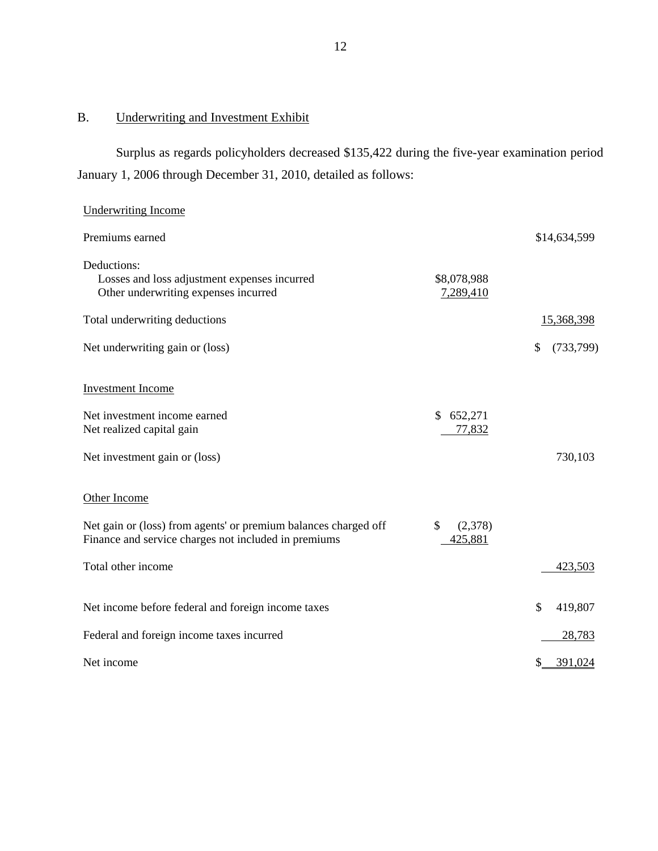# B. Underwriting and Investment Exhibit

Surplus as regards policyholders decreased \$135,422 during the five-year examination period January 1, 2006 through December 31, 2010, detailed as follows:

# Underwriting Income

| Premiums earned                                                                                                         |                          | \$14,634,599    |
|-------------------------------------------------------------------------------------------------------------------------|--------------------------|-----------------|
| Deductions:<br>Losses and loss adjustment expenses incurred<br>Other underwriting expenses incurred                     | \$8,078,988<br>7,289,410 |                 |
| Total underwriting deductions                                                                                           |                          | 15,368,398      |
| Net underwriting gain or (loss)                                                                                         |                          | \$<br>(733,799) |
| <b>Investment</b> Income                                                                                                |                          |                 |
| Net investment income earned<br>Net realized capital gain                                                               | \$<br>652,271<br>77,832  |                 |
| Net investment gain or (loss)                                                                                           |                          | 730,103         |
| Other Income                                                                                                            |                          |                 |
| Net gain or (loss) from agents' or premium balances charged off<br>Finance and service charges not included in premiums | \$<br>(2,378)<br>425,881 |                 |
| Total other income                                                                                                      |                          | 423,503         |
| Net income before federal and foreign income taxes                                                                      |                          | \$<br>419,807   |
| Federal and foreign income taxes incurred                                                                               |                          | 28,783          |
| Net income                                                                                                              |                          | 391,024<br>S    |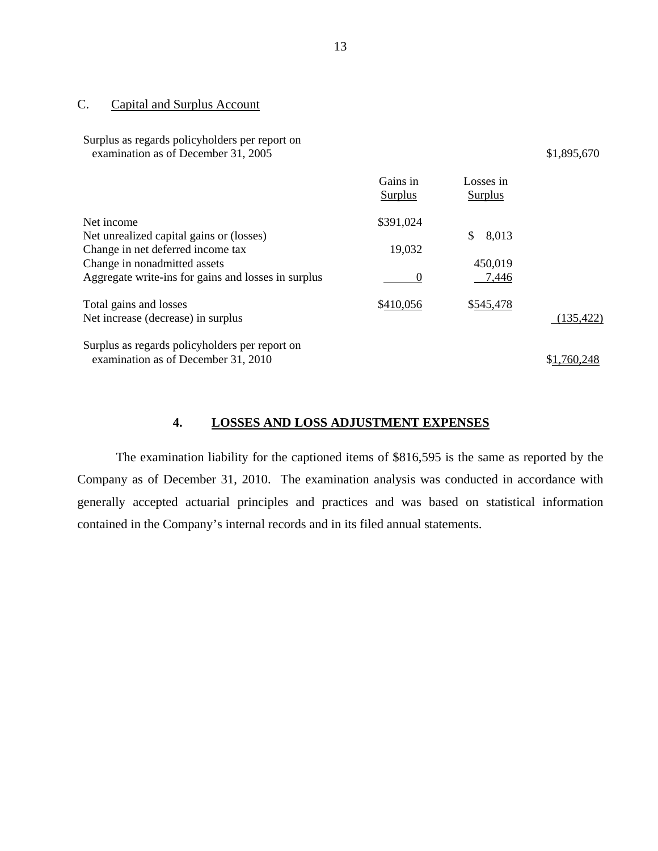# C. Capital and Surplus Account

| Surplus as regards policyholders per report on<br>examination as of December 31, 2005                                                                                              |                            |                                 | \$1,895,670 |
|------------------------------------------------------------------------------------------------------------------------------------------------------------------------------------|----------------------------|---------------------------------|-------------|
|                                                                                                                                                                                    | Gains in<br><b>Surplus</b> | Losses in<br><b>Surplus</b>     |             |
| Net income<br>Net unrealized capital gains or (losses)<br>Change in net deferred income tax<br>Change in nonadmitted assets<br>Aggregate write-ins for gains and losses in surplus | \$391,024<br>19,032<br>0   | \$<br>8,013<br>450,019<br>7,446 |             |
| Total gains and losses<br>Net increase (decrease) in surplus                                                                                                                       | \$410,056                  | \$545,478                       | (135, 422)  |
| Surplus as regards policyholders per report on<br>examination as of December 31, 2010                                                                                              |                            |                                 | \$1.760.248 |

# **4. LOSSES AND LOSS ADJUSTMENT EXPENSES**

The examination liability for the captioned items of \$816,595 is the same as reported by the Company as of December 31, 2010. The examination analysis was conducted in accordance with generally accepted actuarial principles and practices and was based on statistical information contained in the Company's internal records and in its filed annual statements.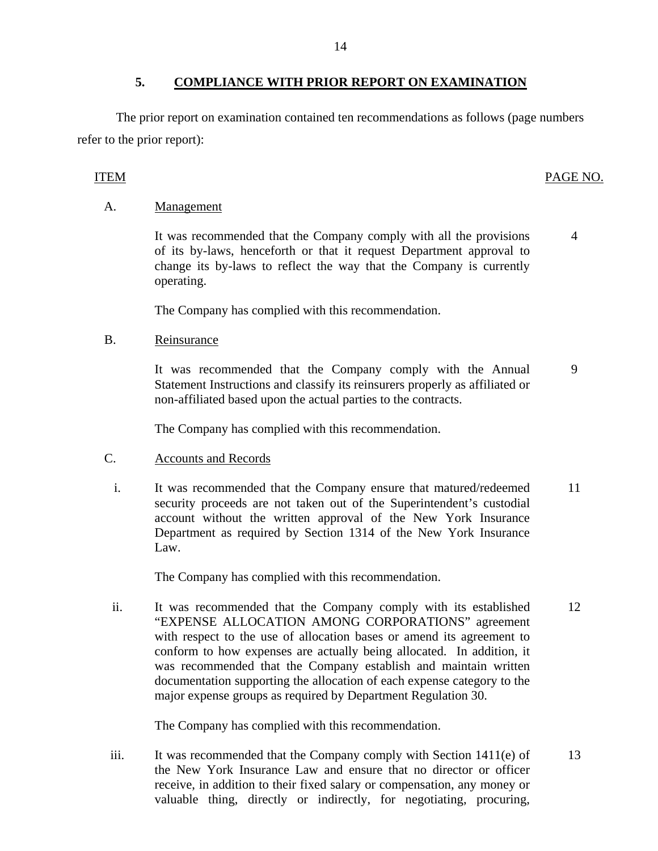The prior report on examination contained ten recommendations as follows (page numbers refer to the prior report):

#### ITEM PAGE NO.

4

#### A. Management

It was recommended that the Company comply with all the provisions of its by-laws, henceforth or that it request Department approval to change its by-laws to reflect the way that the Company is currently operating.

The Company has complied with this recommendation.

#### B. Reinsurance

It was recommended that the Company comply with the Annual Statement Instructions and classify its reinsurers properly as affiliated or non-affiliated based upon the actual parties to the contracts. 9

The Company has complied with this recommendation.

### C. Accounts and Records

i. It was recommended that the Company ensure that matured/redeemed security proceeds are not taken out of the Superintendent's custodial account without the written approval of the New York Insurance Department as required by Section 1314 of the New York Insurance Law. 11

The Company has complied with this recommendation.

ii. It was recommended that the Company comply with its established "EXPENSE ALLOCATION AMONG CORPORATIONS" agreement with respect to the use of allocation bases or amend its agreement to conform to how expenses are actually being allocated. In addition, it was recommended that the Company establish and maintain written documentation supporting the allocation of each expense category to the major expense groups as required by Department Regulation 30. 12

The Company has complied with this recommendation.

iii. It was recommended that the Company comply with Section 1411(e) of the New York Insurance Law and ensure that no director or officer receive, in addition to their fixed salary or compensation, any money or valuable thing, directly or indirectly, for negotiating, procuring, 13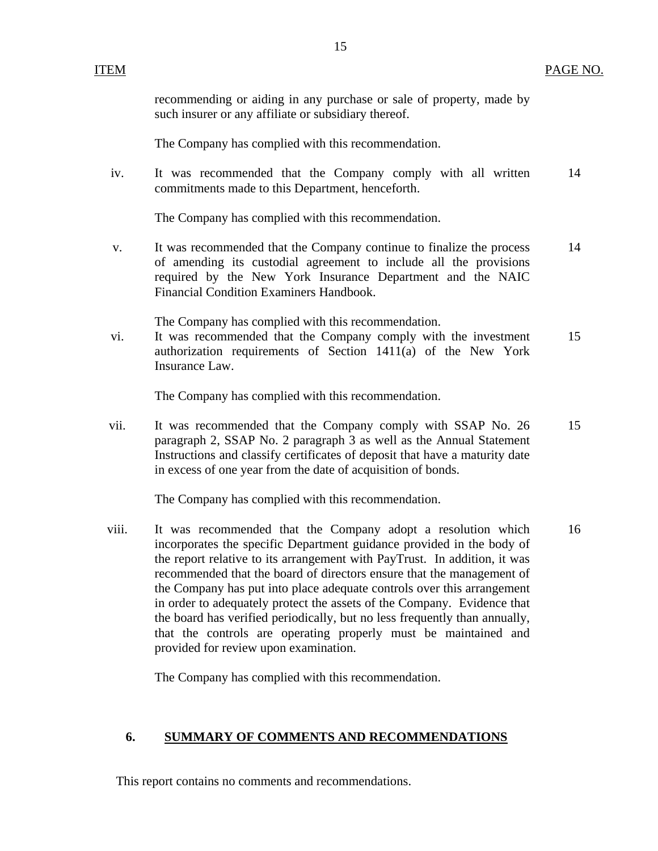recommending or aiding in any purchase or sale of property, made by such insurer or any affiliate or subsidiary thereof.

15

The Company has complied with this recommendation.

iv. It was recommended that the Company comply with all written commitments made to this Department, henceforth. 14

The Company has complied with this recommendation.

v. It was recommended that the Company continue to finalize the process of amending its custodial agreement to include all the provisions required by the New York Insurance Department and the NAIC Financial Condition Examiners Handbook. 14

The Company has complied with this recommendation.

vi. It was recommended that the Company comply with the investment authorization requirements of Section 1411(a) of the New York Insurance Law. 15

The Company has complied with this recommendation.

vii. It was recommended that the Company comply with SSAP No. 26 paragraph 2, SSAP No. 2 paragraph 3 as well as the Annual Statement Instructions and classify certificates of deposit that have a maturity date in excess of one year from the date of acquisition of bonds. 15

The Company has complied with this recommendation.

viii. It was recommended that the Company adopt a resolution which incorporates the specific Department guidance provided in the body of the report relative to its arrangement with PayTrust. In addition, it was recommended that the board of directors ensure that the management of the Company has put into place adequate controls over this arrangement in order to adequately protect the assets of the Company. Evidence that the board has verified periodically, but no less frequently than annually, that the controls are operating properly must be maintained and provided for review upon examination. 16

The Company has complied with this recommendation.

#### **6. SUMMARY OF COMMENTS AND RECOMMENDATIONS**

This report contains no comments and recommendations.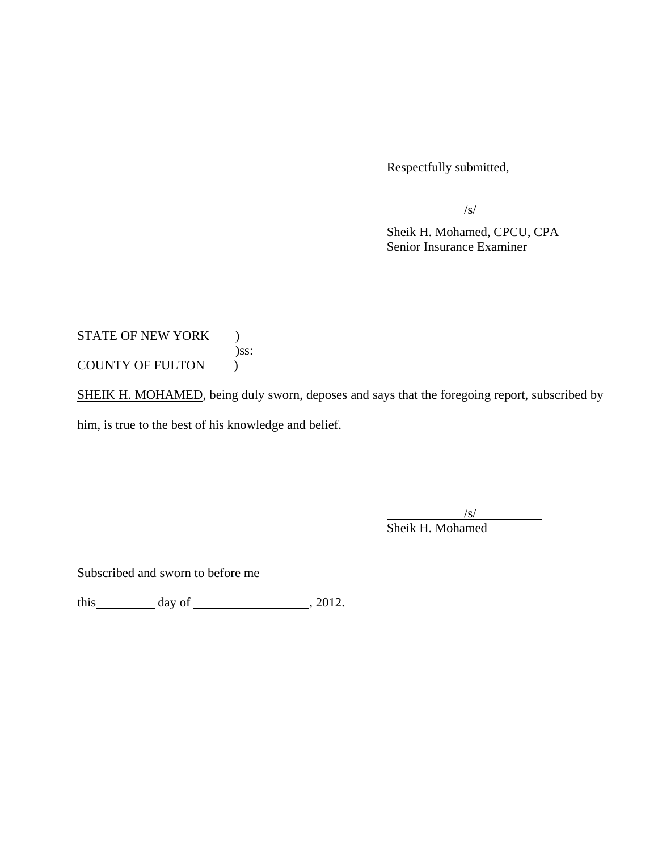Respectfully submitted,

 $\sqrt{s}$ 

 Sheik H. Mohamed, CPCU, CPA Senior Insurance Examiner

STATE OF NEW YORK ) )ss: COUNTY OF FULTON  $\qquad$  )

SHEIK H. MOHAMED, being duly sworn, deposes and says that the foregoing report, subscribed by him, is true to the best of his knowledge and belief.

 $\sqrt{s}$ /s/ Sheik H. Mohamed

Subscribed and sworn to before me

this  $\_\_\_\_\_\$  day of  $\_\_\_\_\_\_\_\_\_\_\_\_\.\_2012.$